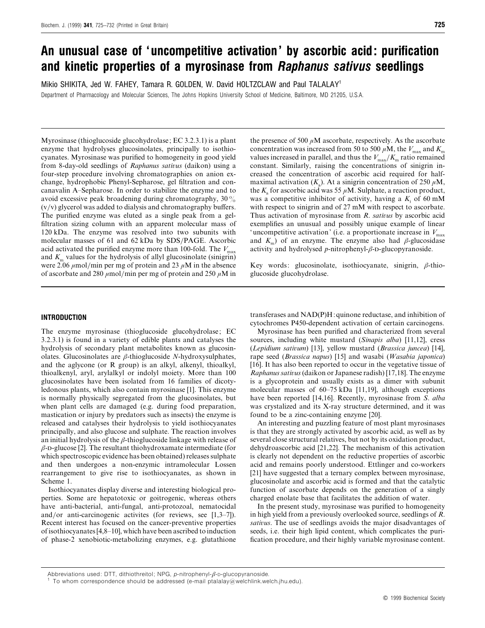# *An unusual case of 'uncompetitive activation' by ascorbic acid: purification and kinetic properties of a myrosinase from Raphanus sativus seedlings*

Mikio SHIKITA, Jed W. FAHEY, Tamara R. GOLDEN, W. David HOLTZCLAW and Paul TALALAY1 Department of Pharmacology and Molecular Sciences, The Johns Hopkins University School of Medicine, Baltimore, MD 21205, U.S.A.

Myrosinase (thioglucoside glucohydrolase; EC 3.2.3.1) is a plant enzyme that hydrolyses glucosinolates, principally to isothiocyanates. Myrosinase was purified to homogeneity in good yield from 8-day-old seedlings of *Raphanus satius* (daikon) using a four-step procedure involving chromatographies on anion exchange, hydrophobic Phenyl-Sepharose, gel filtration and concanavalin A–Sepharose. In order to stabilize the enzyme and to avoid excessive peak broadening during chromatography, 30%  $(v/v)$  glycerol was added to dialysis and chromatography buffers. The purified enzyme was eluted as a single peak from a gelfiltration sizing column with an apparent molecular mass of 120 kDa. The enzyme was resolved into two subunits with molecular masses of 61 and 62 kDa by SDS/PAGE. Ascorbic acid activated the purified enzyme more than 100-fold. The  $V_{\text{max}}$ and  $K<sub>m</sub>$  values for the hydrolysis of allyl glucosinolate (sinigrin) were 2.06  $\mu$ mol/min per mg of protein and 23  $\mu$ M in the absence of ascorbate and 280  $\mu$ mol/min per mg of protein and 250  $\mu$ M in

the presence of 500  $\mu$ M ascorbate, respectively. As the ascorbate concentration was increased from 50 to 500  $\mu$ M, the  $V_{\text{max}}$  and  $K_{\text{m}}$  values increased in parallel, and thus the  $V_{\text{max}}/K_{\text{m}}$  ratio remained constant. Similarly, raising the concentrations of sinigrin increased the concentration of ascorbic acid required for halfmaximal activation  $(K_a)$ . At a sinigrin concentration of 250  $\mu$ M, the  $K_a$  for ascorbic acid was 55  $\mu$ M. Sulphate, a reaction product, was a competitive inhibitor of activity, having a  $K<sub>i</sub>$  of 60 mM with respect to sinigrin and of 27 mM with respect to ascorbate. Thus activation of myrosinase from *R*. *satius* by ascorbic acid exemplifies an unusual and possibly unique example of linear 'uncompetitive activation' (i.e. a proportionate increase in  $V_{\text{max}}$ ) and  $K<sub>m</sub>$ ) of an enzyme. The enzyme also had  $\beta$ -glucosidase activity and hydrolysed  $p$ -nitrophenyl- $\beta$ -D-glucopyranoside.

Key words: glucosinolate, isothiocyanate, sinigrin, β-thioglucoside glucohydrolase.

# *INTRODUCTION*

The enzyme myrosinase (thioglucoside glucohydrolase; EC 3.2.3.1) is found in a variety of edible plants and catalyses the hydrolysis of secondary plant metabolites known as glucosinolates. Glucosinolates are β-thioglucoside *N*-hydroxysulphates, and the aglycone (or R group) is an alkyl, alkenyl, thioalkyl, thioalkenyl, aryl, arylalkyl or indolyl moiety. More than 100 glucosinolates have been isolated from 16 families of dicotyledonous plants, which also contain myrosinase [1]. This enzyme is normally physically segregated from the glucosinolates, but when plant cells are damaged (e.g. during food preparation, mastication or injury by predators such as insects) the enzyme is released and catalyses their hydrolysis to yield isothiocyanates principally, and also glucose and sulphate. The reaction involves an initial hydrolysis of the  $\beta$ -thioglucoside linkage with release of  $\beta$ -D-glucose [2]. The resultant thiohydroxamate intermediate (for which spectroscopic evidence has been obtained) releases sulphate and then undergoes a non-enzymic intramolecular Lossen rearrangement to give rise to isothiocyanates, as shown in Scheme 1.

Isothiocyanates display diverse and interesting biological properties. Some are hepatotoxic or goitrogenic, whereas others have anti-bacterial, anti-fungal, anti-protozoal, nematocidal and/or anti-carcinogenic activites (for reviews, see  $[1,3-7]$ ). Recent interest has focused on the cancer-preventive properties of isothiocyanates [4,8–10], which have been ascribed to induction of phase-2 xenobiotic-metabolizing enzymes, e.g. glutathione transferases and NAD(P)H:quinone reductase, and inhibition of cytochromes P450-dependent activation of certain carcinogens.

Myrosinase has been purified and characterized from several sources, including white mustard (*Sinapis alba*) [11,12], cress (*Lepidium satium*) [13], yellow mustard (*Brassica juncea*) [14], rape seed (*Brassica napus*) [15] and wasabi (*Wasabia japonica*) [16]. It has also been reported to occur in the vegetative tissue of *Raphanus satius*(daikon or Japanese radish) [17,18]. The enzyme is a glycoprotein and usually exists as a dimer with subunit molecular masses of  $60-75$  kDa [11,19], although exceptions have been reported [14,16]. Recently, myrosinase from *S*. *alba* was crystalized and its X-ray structure determined, and it was found to be a zinc-containing enzyme [20].

An interesting and puzzling feature of most plant myrosinases is that they are strongly activated by ascorbic acid, as well as by several close structural relatives, but not by its oxidation product, dehydroascorbic acid [21,22]. The mechanism of this activation is clearly not dependent on the reductive properties of ascorbic acid and remains poorly understood. Ettlinger and co-workers [21] have suggested that a ternary complex between myrosinase, glucosinolate and ascorbic acid is formed and that the catalytic function of ascorbate depends on the generation of a singly charged enolate base that facilitates the addition of water.

In the present study, myrosinase was purified to homogeneity in high yield from a previously overlooked source, seedlings of *R*. *satius*. The use of seedlings avoids the major disadvantages of seeds, i.e. their high lipid content, which complicates the purification procedure, and their highly variable myrosinase content.

Abbreviations used: DTT, dithiothreitol; NPG, *p*-nitrophenyl-*β*-D-glucopyranoside.<br><sup>1</sup> To whom correspondence should be addressed (e-mail ptalalay@welchlink.welch.jhu.edu).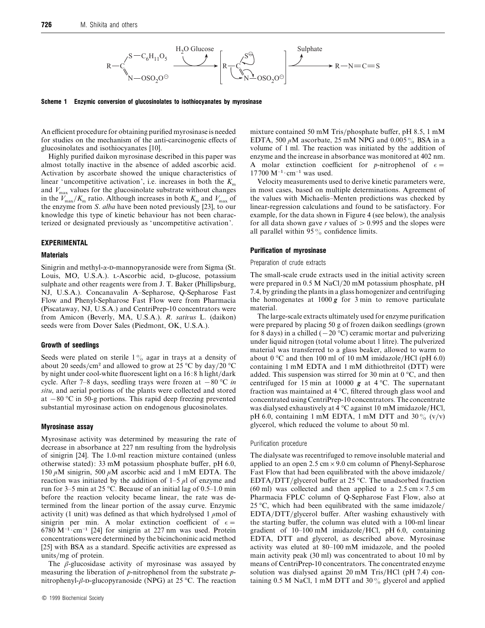

*Scheme 1 Enzymic conversion of glucosinolates to isothiocyanates by myrosinase*

An efficient procedure for obtaining purified myrosinase is needed for studies on the mechanism of the anti-carcinogenic effects of glucosinolates and isothiocyanates [10].

Highly purified daikon myrosinase described in this paper was almost totally inactive in the absence of added ascorbic acid. Activation by ascorbate showed the unique characteristics of linear 'uncompetitive activation', i.e. increases in both the  $K_{\text{m}}$  and  $V_{\text{max}}$  values for the glucosinolate substrate without changes in the  $V_{\text{max}}/K_{\text{m}}$  ratio. Although increases in both  $K_{\text{m}}$  and  $V_{\text{max}}$  of the enzyme from *S*. *alba* have been noted previously [23], to our knowledge this type of kinetic behaviour has not been characterized or designated previously as 'uncompetitive activation'.

#### *EXPERIMENTAL*

#### *Materials*

Sinigrin and methyl- $\alpha$ -D-mannopyranoside were from Sigma (St. Louis, MO, U.S.A.). L-Ascorbic acid, p-glucose, potassium sulphate and other reagents were from J. T. Baker (Phillipsburg, NJ, U.S.A.). Concanavalin A–Sepharose, Q-Sepharose Fast Flow and Phenyl-Sepharose Fast Flow were from Pharmacia (Piscataway, NJ, U.S.A.) and CentriPrep-10 concentrators were from Amicon (Beverly, MA, U.S.A.). *R*. *satius* L. (daikon) seeds were from Dover Sales (Piedmont, OK, U.S.A.).

#### *Growth of seedlings*

Seeds were plated on sterile  $1\%$  agar in trays at a density of about 20 seeds/cm<sup>2</sup> and allowed to grow at 25 °C by day/20 °C by night under cool-white fluorescent light on a 16:8 h light/dark cycle. After 7–8 days, seedling trays were frozen at  $-80$  °C *in situ*, and aerial portions of the plants were collected and stored at  $-80$  °C in 50-g portions. This rapid deep freezing prevented substantial myrosinase action on endogenous glucosinolates.

## *Myrosinase assay*

Myrosinase activity was determined by measuring the rate of decrease in absorbance at 227 nm resulting from the hydrolysis of sinigrin [24]. The 1.0-ml reaction mixture contained (unless otherwise stated): 33 mM potassium phosphate buffer, pH 6.0, 150  $\mu$ M sinigrin, 500  $\mu$ M ascorbic acid and 1 mM EDTA. The reaction was initiated by the addition of  $1-5 \mu l$  of enzyme and run for 3–5 min at 25 °C. Because of an initial lag of 0.5–1.0 min before the reaction velocity became linear, the rate was determined from the linear portion of the assay curve. Enzymic activity (1 unit) was defined as that which hydrolysed 1  $\mu$ mol of sinigrin per min. A molar extinction coefficient of  $\epsilon =$ 6780 M<sup>-1</sup>·cm<sup>-1</sup> [24] for sinigrin at 227 nm was used. Protein concentrations were determined by the bicinchoninic acid method [25] with BSA as a standard. Specific activities are expressed as units/mg of protein.

The  $\beta$ -glucosidase activity of myrosinase was assayed by measuring the liberation of *p*-nitrophenol from the substrate *p*nitrophenyl- $\beta$ -D-glucopyranoside (NPG) at 25 °C. The reaction mixture contained 50 mM Tris/phosphate buffer, pH 8.5, 1 mM EDTA, 500  $\mu$ M ascorbate, 25 mM NPG and 0.005  $\%$  BSA in a volume of 1 ml. The reaction was initiated by the addition of enzyme and the increase in absorbance was monitored at 402 nm. A molar extinction coefficient for *p*-nitrophenol of  $\epsilon$ =  $17700 \text{ M}^{-1} \cdot \text{cm}^{-1}$  was used.

Velocity measurements used to derive kinetic parameters were, in most cases, based on multiple determinations. Agreement of the values with Michaelis–Menten predictions was checked by linear-regression calculations and found to be satisfactory. For example, for the data shown in Figure 4 (see below), the analysis for all data shown gave  $r$  values of  $> 0.995$  and the slopes were all parallel within 95 $\%$  confidence limits.

#### *Purification of myrosinase*

#### Preparation of crude extracts

The small-scale crude extracts used in the initial activity screen were prepared in 0.5 M NaCl/20 mM potassium phosphate, pH 7.4, by grinding the plants in a glass homogenizer and centrifuging the homogenates at  $1000 g$  for 3 min to remove particulate material.

The large-scale extracts ultimately used for enzyme purification were prepared by placing 50 g of frozen daikon seedlings (grown for 8 days) in a chilled  $(-20 \degree C)$  ceramic mortar and pulverizing under liquid nitrogen (total volume about 1 litre). The pulverized material was transferred to a glass beaker, allowed to warm to about  $0^{\circ}$ C and then 100 ml of 10 mM imidazole/HCl (pH 6.0) containing 1 mM EDTA and 1 mM dithiothreitol (DTT) were added. This suspension was stirred for 30 min at 0 °C, and then centrifuged for 15 min at 10000  $g$  at 4 °C. The supernatant fraction was maintained at 4 °C, filtered through glass wool and concentrated using CentriPrep-10 concentrators. The concentrate was dialysed exhaustively at  $4^{\circ}$ C against 10 mM imidazole/HCl, pH 6.0, containing 1 mM EDTA, 1 mM DTT and 30%  $(v/v)$ glycerol, which reduced the volume to about 50 ml.

#### Purification procedure

The dialysate was recentrifuged to remove insoluble material and applied to an open  $2.5 \text{ cm} \times 9.0 \text{ cm}$  column of Phenyl-Sepharose Fast Flow that had been equilibrated with the above imidazole/ EDTA/DTT/glycerol buffer at 25 °C. The unadsorbed fraction (60 ml) was collected and then applied to a  $2.5 \text{ cm} \times 7.5 \text{ cm}$ Pharmacia FPLC column of Q-Sepharose Fast Flow, also at 25 °C, which had been equilibrated with the same imidazole/ EDTA}DTT}glycerol buffer. After washing exhaustively with the starting buffer, the column was eluted with a 100-ml linear gradient of 10–100 mM imidazole}HCl, pH 6.0, containing EDTA, DTT and glycerol, as described above. Myrosinase activity was eluted at 80–100 mM imidazole, and the pooled main activity peak (30 ml) was concentrated to about 10 ml by means of CentriPrep-10 concentrators. The concentrated enzyme solution was dialysed against 20 mM Tris/HCl (pH 7.4) containing 0.5 M NaCl, 1 mM DTT and 30 $\%$  glycerol and applied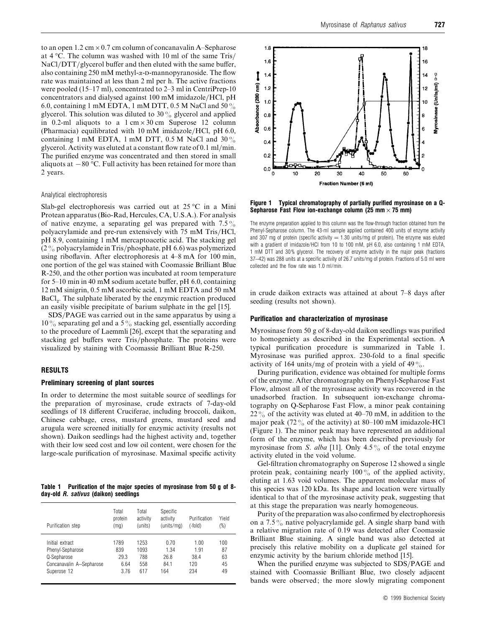to an open 1.2 cm  $\times$  0.7 cm column of concanavalin A–Sepharose at  $4^{\circ}$ C. The column was washed with 10 ml of the same Tris/ NaCl/DTT/glycerol buffer and then eluted with the same buffer, also containing 250 mM methyl- $\alpha$ -D-mannopyranoside. The flow rate was maintained at less than 2 ml per h. The active fractions were pooled (15–17 ml), concentrated to 2–3 ml in CentriPrep-10 concentrators and dialysed against 100 mM imidazole/HCl, pH 6.0, containing 1 mM EDTA, 1 mM DTT, 0.5 M NaCl and 50 $\%$ glycerol. This solution was diluted to 30 $\%$  glycerol and applied in 0.2-ml aliquots to a  $1 \text{ cm} \times 30 \text{ cm}$  Superose 12 column (Pharmacia) equilibrated with 10 mM imidazole/HCl, pH 6.0, containing 1 mM EDTA, 1 mM DTT, 0.5 M NaCl and  $30\%$ glycerol. Activity was eluted at a constant flow rate of  $0.1 \text{ ml/min}$ . The purified enzyme was concentrated and then stored in small aliquots at  $-80$  °C. Full activity has been retained for more than 2 years.

# Analytical electrophoresis

Slab-gel electrophoresis was carried out at 25 °C in a Mini Protean apparatus (Bio-Rad, Hercules, CA, U.S.A.). For analysis of native enzyme, a separating gel was prepared with  $7.5\%$ polyacrylamide and pre-run extensively with 75 mM Tris/HCl, pH 8.9, containing 1 mM mercaptoacetic acid. The stacking gel  $(2\%$  polyacrylamide in Tris/phosphate, pH 6.6) was polymerized using riboflavin. After electrophoresis at 4–8 mA for 100 min, one portion of the gel was stained with Coomassie Brilliant Blue R-250, and the other portion was incubated at room temperature for 5–10 min in 40 mM sodium acetate buffer, pH 6.0, containing 12 mM sinigrin, 0.5 mM ascorbic acid, 1 mM EDTA and 50 mM  $BaCl<sub>2</sub>$ . The sulphate liberated by the enzymic reaction produced an easily visible precipitate of barium sulphate in the gel [15].

SDS/PAGE was carried out in the same apparatus by using a  $10\%$  separating gel and a 5% stacking gel, essentially according to the procedure of Laemmli [26], except that the separating and stacking gel buffers were Tris/phosphate. The proteins were visualized by staining with Coomassie Brilliant Blue R-250.

#### *RESULTS*

#### *Preliminary screening of plant sources*

In order to determine the most suitable source of seedlings for the preparation of myrosinase, crude extracts of 7-day-old seedlings of 18 different Cruciferae, including broccoli, daikon, Chinese cabbage, cress, mustard greens, mustard seed and arugula were screened initially for enzymic activity (results not shown). Daikon seedlings had the highest activity and, together with their low seed cost and low oil content, were chosen for the large-scale purification of myrosinase. Maximal specific activity

*Table 1 Purification of the major species of myrosinase from 50 g of 8 day-old R. sativus (daikon) seedlings*

| Purification step        | Total<br>protein<br>(mq) | Total<br>activity<br>(units) | Specific<br>activity<br>(units/ma) | Purification<br>$(-fold)$ | Yield<br>(%) |
|--------------------------|--------------------------|------------------------------|------------------------------------|---------------------------|--------------|
| Initial extract          | 1789                     | 1253                         | 0.70                               | 1.00                      | 100          |
| Phenyl-Sepharose         | 839                      | 1093                         | 1.34                               | 1.91                      | 87           |
| Q-Sepharose              | 29.3                     | 788                          | 26.8                               | 38.4                      | 63           |
| Concanavalin A-Sepharose | 6.64                     | 558                          | 84.1                               | 120                       | 45           |
| Superose 12              | 3.76                     | 617                          | 164                                | 234                       | 49           |



*Figure 1 Typical chromatography of partially purified myrosinase on a Q-Sepharose Fast Flow ion-exchange column (25 mm*¬*75 mm)*

The enzyme preparation applied to this column was the flow-through fraction obtained from the Phenyl-Sepharose column. The 43-ml sample applied contained 400 units of enzyme activity and 307 mg of protein (specific activity  $=1.30$  units/mg of protein). The enzyme was eluted with a gradient of imidazole/HCl from 10 to 100 mM, pH 6.0, also containing 1 mM EDTA, 1 mM DTT and 30 % glycerol. The recovery of enzyme activity in the major peak (fractions 37–42) was 288 units at a specific activity of 26.7 units/mg of protein. Fractions of 5.0 ml were collected and the flow rate was 1.0 ml/min.

in crude daikon extracts was attained at about 7–8 days after seeding (results not shown).

## *Purification and characterization of myrosinase*

Myrosinase from 50 g of 8-day-old daikon seedlings was purified to homogeniety as described in the Experimental section. A typical purification procedure is summarized in Table 1. Myrosinase was purified approx. 230-fold to a final specific activity of 164 units/mg of protein with a yield of 49%.

During purification, evidence was obtained for multiple forms of the enzyme. After chromatography on Phenyl-Sepharose Fast Flow, almost all of the myrosinase activity was recovered in the unadsorbed fraction. In subsequent ion-exchange chromatography on Q-Sepharose Fast Flow, a minor peak containing 22% of the activity was eluted at 40–70 mM, in addition to the major peak (72 $\%$  of the activity) at 80–100 mM imidazole-HCl (Figure 1). The minor peak may have represented an additional form of the enzyme, which has been described previously for myrosinase from *S*. *alba* [11]. Only 4.5% of the total enzyme activity eluted in the void volume.

Gel-filtration chromatography on Superose 12 showed a single protein peak, containing nearly  $100\%$  of the applied activity, eluting at 1.63 void volumes. The apparent molecular mass of this species was 120 kDa. Its shape and location were virtually identical to that of the myrosinase activity peak, suggesting that at this stage the preparation was nearly homogeneous.

Purity of the preparation was also confirmed by electrophoresis on a  $7.5\%$  native polyacrylamide gel. A single sharp band with a relative migration rate of 0.19 was detected after Coomassie Brilliant Blue staining. A single band was also detected at precisely this relative mobility on a duplicate gel stained for enzymic activity by the barium chloride method [15].

When the purified enzyme was subjected to SDS/PAGE and stained with Coomassie Brilliant Blue, two closely adjacent bands were observed; the more slowly migrating component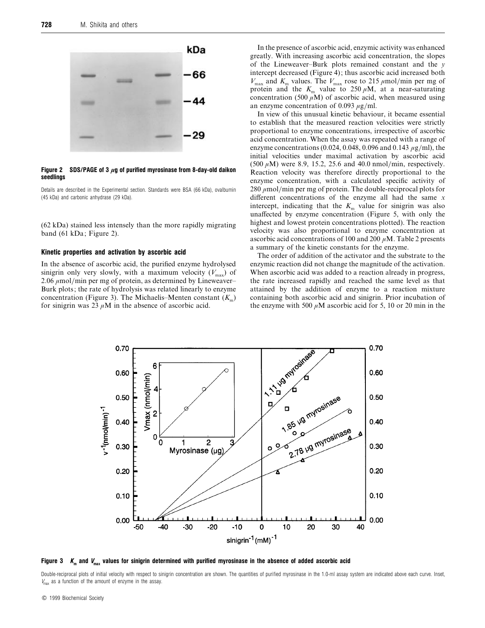

#### *Figure 2 SDS/PAGE of 3* **µ***g of purified myrosinase from 8-day-old daikon seedlings*

Details are described in the Experimental section. Standards were BSA (66 kDa), ovalbumin (45 kDa) and carbonic anhydrase (29 kDa).

(62 kDa) stained less intensely than the more rapidly migrating band (61 kDa; Figure 2).

# *Kinetic properties and activation by ascorbic acid*

In the absence of ascorbic acid, the purified enzyme hydrolysed sinigrin only very slowly, with a maximum velocity  $(V_{\text{max}})$  of 2.06  $\mu$ mol/min per mg of protein, as determined by Lineweaver– Burk plots; the rate of hydrolysis was related linearly to enzyme concentration (Figure 3). The Michaelis–Menten constant  $(K<sub>m</sub>)$ for sinigrin was 23  $\mu$ M in the absence of ascorbic acid.

In the presence of ascorbic acid, enzymic activity was enhanced greatly. With increasing ascorbic acid concentration, the slopes of the Lineweaver–Burk plots remained constant and the *y* intercept decreased (Figure 4); thus ascorbic acid increased both  $V_{\text{max}}$  and  $K_{\text{m}}$  values. The  $V_{\text{max}}$  rose to 215  $\mu$ mol/min per mg of protein and the  $K_{\text{m}}$  value to 250  $\mu$ M, at a near-saturating concentration (500  $\mu$ M) of ascorbic acid, when measured using an enzyme concentration of 0.093  $\mu$ g/ml.

In view of this unusual kinetic behaviour, it became essential to establish that the measured reaction velocities were strictly proportional to enzyme concentrations, irrespective of ascorbic acid concentration. When the assay was repeated with a range of enzyme concentrations (0.024, 0.048, 0.096 and 0.143  $\mu$ g/ml), the initial velocities under maximal activation by ascorbic acid  $(500 \,\mu M)$  were 8.9, 15.2, 25.6 and 40.0 nmol/min, respectively. Reaction velocity was therefore directly proportional to the enzyme concentration, with a calculated specific activity of  $280 \mu$ mol/min per mg of protein. The double-reciprocal plots for different concentrations of the enzyme all had the same *x* intercept, indicating that the  $K<sub>m</sub>$  value for sinigrin was also unaffected by enzyme concentration (Figure 5, with only the highest and lowest protein concentrations plotted). The reaction velocity was also proportional to enzyme concentration at ascorbic acid concentrations of 100 and 200  $\mu$ M. Table 2 presents a summary of the kinetic constants for the enzyme.

The order of addition of the activator and the substrate to the enzymic reaction did not change the magnitude of the activation. When ascorbic acid was added to a reaction already in progress. the rate increased rapidly and reached the same level as that attained by the addition of enzyme to a reaction mixture containing both ascorbic acid and sinigrin. Prior incubation of the enzyme with 500  $\mu$ M ascorbic acid for 5, 10 or 20 min in the



*Figure 3 K<sup>m</sup> and Vmax values for sinigrin determined with purified myrosinase in the absence of added ascorbic acid*

Double-reciprocal plots of initial velocity with respect to sinigrin concentration are shown. The quantities of purified myrosinase in the 1.0-ml assay system are indicated above each curve. Inset,  $V_{\text{max}}$  as a function of the amount of enzyme in the assay.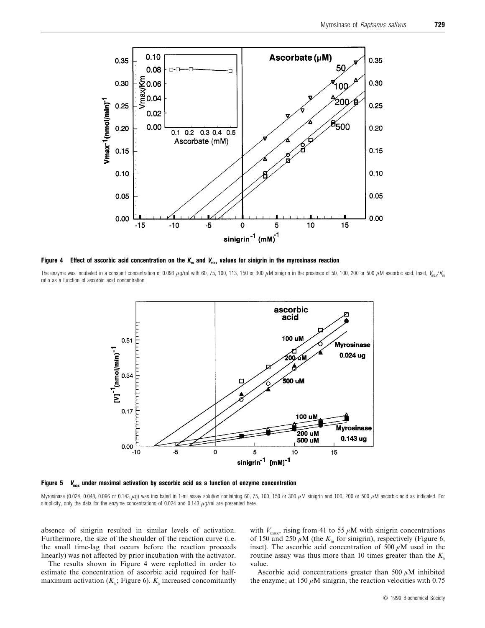

*Figure 4 Effect of ascorbic acid concentration on the K<sup>m</sup> and Vmax values for sinigrin in the myrosinase reaction*

The enzyme was incubated in a constant concentration of 0.093  $\mu$ g/ml with 60, 75, 100, 113, 150 or 300  $\mu$ M sinigrin in the presence of 50, 100, 200 or 500  $\mu$ M ascorbic acid. Inset,  $V_{\text{max}}/K_{\text{max}}$ ratio as a function of ascorbic acid concentration.



*Figure 5 Vmax under maximal activation by ascorbic acid as a function of enzyme concentration*

Myrosinase (0.024, 0.048, 0.096 or 0.143  $\mu$ g) was incubated in 1-ml assay solution containing 60, 75, 100, 150 or 300  $\mu$ M sinigrin and 100, 200 or 500  $\mu$ M ascorbic acid as indicated. For simplicity, only the data for the enzyme concentrations of 0.024 and 0.143  $\mu$ g/ml are presented here.

absence of sinigrin resulted in similar levels of activation. Furthermore, the size of the shoulder of the reaction curve (i.e. the small time-lag that occurs before the reaction proceeds linearly) was not affected by prior incubation with the activator.

The results shown in Figure 4 were replotted in order to estimate the concentration of ascorbic acid required for halfmaximum activation  $(K_a;$  Figure 6).  $K_a$  increased concomitantly

with  $V_{\text{max}}$ , rising from 41 to 55  $\mu$ M with sinigrin concentrations of 150 and 250  $\mu$ M (the  $K_m$  for sinigrin), respectively (Figure 6, inset). The ascorbic acid concentration of 500  $\mu$ M used in the routine assay was thus more than 10 times greater than the *<sup>K</sup>*<sup>a</sup> value.

Ascorbic acid concentrations greater than 500  $\mu$ M inhibited the enzyme; at 150  $\mu$ M sinigrin, the reaction velocities with 0.75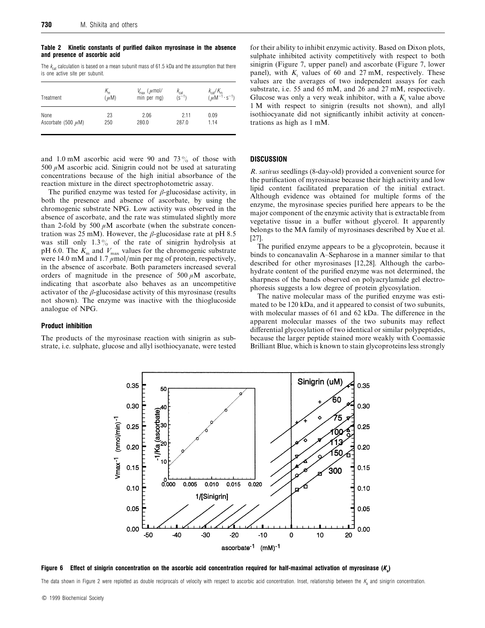*Table 2 Kinetic constants of purified daikon myrosinase in the absence and presence of ascorbic acid*

The  $k_{\text{cat}}$  calculation is based on a mean subunit mass of 61.5 kDa and the assumption that there is one active site per subunit.

| Treatment               | $n_{\rm m}$<br>$(\mu M)$ | $V_{\text{max}}$ ( $\mu$ mol/<br>min per mq) | $\frac{k_{\rm cat}}{\rm (s^{-1})}$ | $\frac{k_{\rm cat}/K_{\rm m}}{(\mu M^{-1} \cdot s^{-1})}$ |
|-------------------------|--------------------------|----------------------------------------------|------------------------------------|-----------------------------------------------------------|
| None                    | 23                       | 2.06                                         | 2.11                               | 0.09                                                      |
| Ascorbate (500 $\mu$ M) | 250                      | 280.0                                        | 287.0                              | 1.14                                                      |

and 1.0 mM ascorbic acid were 90 and 73 $\%$  of those with 500  $\mu$ M ascorbic acid. Sinigrin could not be used at saturating concentrations because of the high initial absorbance of the reaction mixture in the direct spectrophotometric assay.

The purified enzyme was tested for  $\beta$ -glucosidase activity, in both the presence and absence of ascorbate, by using the chromogenic substrate NPG. Low activity was observed in the absence of ascorbate, and the rate was stimulated slightly more than 2-fold by 500  $\mu$ M ascorbate (when the substrate concentration was 25 mM). However, the  $\beta$ -glucosidase rate at pH 8.5 was still only  $1.3\%$  of the rate of sinigrin hydrolysis at pH 6.0. The  $K_{\text{m}}$  and  $V_{\text{max}}$  values for the chromogenic substrate were 14.0 mM and 1.7  $\mu$ mol/min per mg of protein, respectively, in the absence of ascorbate. Both parameters increased several orders of magnitude in the presence of  $500 \mu M$  ascorbate, indicating that ascorbate also behaves as an uncompetitive activator of the  $\beta$ -glucosidase activity of this myrosinase (results not shown). The enzyme was inactive with the thioglucoside analogue of NPG.

#### *Product inhibition*

The products of the myrosinase reaction with sinigrin as substrate, i.e. sulphate, glucose and allyl isothiocyanate, were tested for their ability to inhibit enzymic activity. Based on Dixon plots, sulphate inhibited activity competitively with respect to both sinigrin (Figure 7, upper panel) and ascorbate (Figure 7, lower panel), with  $K_i$  values of 60 and 27 mM, respectively. These values are the averages of two independent assays for each substrate, i.e. 55 and 65 mM, and 26 and 27 mM, respectively. Glucose was only a very weak inhibitor, with a *K*<sub>i</sub> value above 1 M with respect to sinigrin (results not shown), and allyl isothiocyanate did not significantly inhibit activity at concentrations as high as 1 mM.

# *DISCUSSION*

*R*. *satius* seedlings (8-day-old) provided a convenient source for the purification of myrosinase because their high activity and low lipid content facilitated preparation of the initial extract. Although evidence was obtained for multiple forms of the enzyme, the myrosinase species purified here appears to be the major component of the enzymic activity that is extractable from vegetative tissue in a buffer without glycerol. It apparently belongs to the MA family of myrosinases described by Xue et al. [27].

The purified enzyme appears to be a glycoprotein, because it binds to concanavalin A–Sepharose in a manner similar to that described for other myrosinases [12,28]. Although the carbohydrate content of the purified enzyme was not determined, the sharpness of the bands observed on polyacrylamide gel electrophoresis suggests a low degree of protein glycosylation.

The native molecular mass of the purified enzyme was estimated to be 120 kDa, and it appeared to consist of two subunits, with molecular masses of 61 and 62 kDa. The difference in the apparent molecular masses of the two subunits may reflect differential glycosylation of two identical or similar polypeptides, because the larger peptide stained more weakly with Coomassie Brilliant Blue, which is known to stain glycoproteins less strongly



*Figure 6 Effect of sinigrin concentration on the ascorbic acid concentration required for half-maximal activation of myrosinase (Ka)*

The data shown in Figure 2 were replotted as double reciprocals of velocity with respect to ascorbic acid concentration. Inset, relationship between the *K*<sub>a</sub> and sinigrin concentration.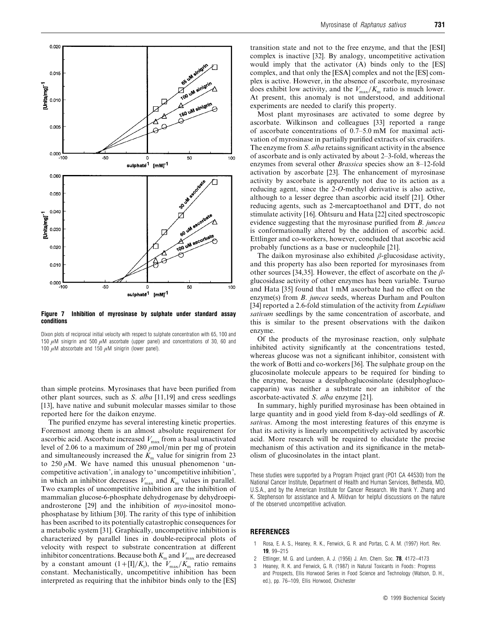

*Figure 7 Inhibition of myrosinase by sulphate under standard assay conditions*

Dixon plots of reciprocal initial velocity with respect to sulphate concentration with 65, 100 and 150  $\mu$ M sinigrin and 500  $\mu$ M ascorbate (upper panel) and concentrations of 30, 60 and 100  $\mu$ M abscorbate and 150  $\mu$ M sinigrin (lower panel).

than simple proteins. Myrosinases that have been purified from other plant sources, such as *S*. *alba* [11,19] and cress seedlings [13], have native and subunit molecular masses similar to those reported here for the daikon enzyme.

The purified enzyme has several interesting kinetic properties. Foremost among them is an almost absolute requirement for ascorbic acid. Ascorbate increased  $V_{\text{max}}$  from a basal unactivated level of 2.06 to a maximum of 280  $\mu$ mol/min per mg of protein and simultaneously increased the  $K<sub>m</sub>$  value for sinigrin from 23 to 250  $\mu$ M. We have named this unusual phenomenon 'uncompetitive activation', in analogy to 'uncompetitive inhibition', in which an inhibitor decreases  $V_{\text{max}}$  and  $K_{\text{max}}$  values in parallel. Two examples of uncompetitive inhibition are the inhibition of mammalian glucose-6-phosphate dehydrogenase by dehydroepiandrosterone [29] and the inhibition of *myo*-inositol monophosphatase by lithium [30]. The rarity of this type of inhibition has been ascribed to its potentially catastrophic consequences for a metabolic system [31]. Graphically, uncompetitive inhibition is characterized by parallel lines in double-reciprocal plots of velocity with respect to substrate concentration at different inhibitor concentrations. Because both  $K_{\rm m}$  and  $V_{\rm max}$  are decreased by a constant amount  $(1 + [I]/K_i)$ , the  $V_{\text{max}}/K_m$  ratio remains constant. Mechanistically, uncompetitive inhibition has been interpreted as requiring that the inhibitor binds only to the [ES]

transition state and not to the free enzyme, and that the [ESI] complex is inactive [32]. By analogy, uncompetitive activation would imply that the activator (A) binds only to the [ES] complex, and that only the [ESA] complex and not the [ES] complex is active. However, in the absence of ascorbate, myrosinase does exhibit low activity, and the  $V_{\text{max}}/K_{\text{m}}$  ratio is much lower. At present, this anomaly is not understood, and additional experiments are needed to clarify this property.

Most plant myrosinases are activated to some degree by ascorbate. Wilkinson and colleagues [33] reported a range of ascorbate concentrations of 0.7–5.0 mM for maximal activation of myrosinase in partially purified extracts of six crucifers. The enzyme from *S*. *alba* retains significant activity in the absence of ascorbate and is only activated by about 2–3-fold, whereas the enzymes from several other *Brassica* species show an 8–12-fold activation by ascorbate [23]. The enhancement of myrosinase activity by ascorbate is apparently not due to its action as a reducing agent, since the 2-*O*-methyl derivative is also active, although to a lesser degree than ascorbic acid itself [21]. Other reducing agents, such as 2-mercaptoethanol and DTT, do not stimulate activity [16]. Ohtsuru and Hata [22] cited spectroscopic evidence suggesting that the myrosinase purified from *B*. *juncea* is conformationally altered by the addition of ascorbic acid. Ettlinger and co-workers, however, concluded that ascorbic acid probably functions as a base or nucleophile [21].

The daikon myrosinase also exhibited  $\beta$ -glucosidase activity, and this property has also been reported for myrosinases from other sources [34,35]. However, the effect of ascorbate on the  $\beta$ glucosidase activity of other enzymes has been variable. Tsuruo and Hata [35] found that 1 mM ascorbate had no effect on the enzyme(s) from *B*. *juncea* seeds, whereas Durham and Poulton [34] reported a 2.6-fold stimulation of the activity from *Lepidium satium* seedlings by the same concentration of ascorbate, and this is similar to the present observations with the daikon enzyme.

Of the products of the myrosinase reaction, only sulphate inhibited activity significantly at the concentrations tested, whereas glucose was not a significant inhibitor, consistent with the work of Botti and co-workers [36]. The sulphate group on the glucosinolate molecule appears to be required for binding to the enzyme, because a desulphoglucosinolate (desulphoglucocapparin) was neither a substrate nor an inhibitor of the ascorbate-activated *S*. *alba* enzyme [21].

In summary, highly purified myrosinase has been obtained in large quantity and in good yield from 8-day-old seedlings of *R*. *satius*. Among the most interesting features of this enzyme is that its activity is linearly uncompetitively activated by ascorbic acid. More research will be required to elucidate the precise mechanism of this activation and its significance in the metabolism of glucosinolates in the intact plant.

These studies were supported by a Program Project grant (PO1 CA 44530) from the National Cancer Institute, Department of Health and Human Services, Bethesda, MD, U.S.A., and by the American Institute for Cancer Research. We thank Y. Zhang and K. Stephenson for assistance and A. Mildvan for helpful discussions on the nature of the observed uncompetitive activation.

# *REFERENCES*

- 1 Rosa, E. A. S., Heaney, R. K., Fenwick, G. R. and Portas, C. A. M. (1997) Hort. Rev. *19*, 99–215
- 2 Ettlinger, M. G. and Lundeen, A. J. (1956) J. Am. Chem. Soc. *78*, 4172–4173
- Heaney, R. K. and Fenwick, G. R. (1987) in Natural Toxicants in Foods: Progress and Prospects, Ellis Horwood Series in Food Science and Technology (Watson, D. H., ed.), pp. 76–109, Ellis Horwood, Chichester